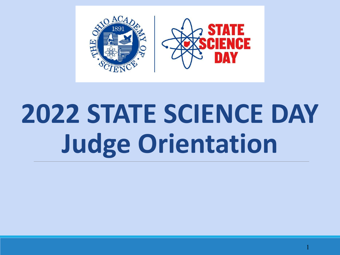

# **2022 STATE SCIENCE DAY Judge Orientation**

1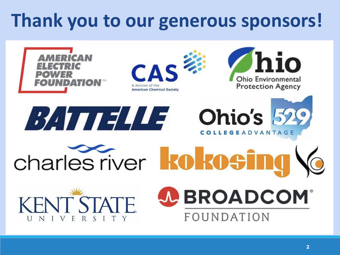#### **Thank you to our generous sponsors!**

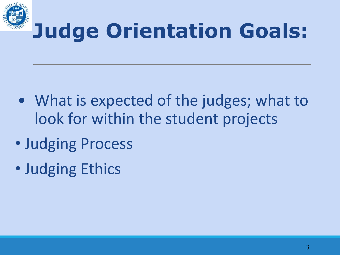

#### **Judge Orientation Goals:**

- What is expected of the judges; what to look for within the student projects
- Judging Process
- Judging Ethics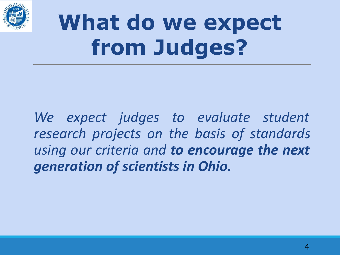

### **What do we expect from Judges?**

We expect judges to evaluate student *research projects on the basis of standards using our criteria and to encourage the next generation of scientists in Ohio.*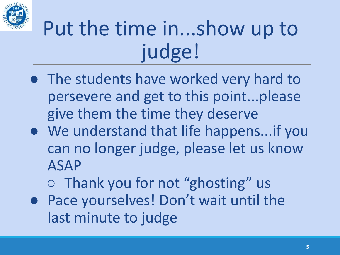

#### Put the time in...show up to judge!

- The students have worked very hard to persevere and get to this point...please give them the time they deserve
- We understand that life happens...if you can no longer judge, please let us know ASAP
	- Thank you for not "ghosting" us
- Pace yourselves! Don't wait until the last minute to judge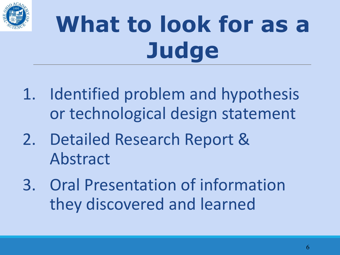

# **What to look for as a Judge**

- 1. Identified problem and hypothesis or technological design statement
- 2. Detailed Research Report & Abstract
- 3. Oral Presentation of information they discovered and learned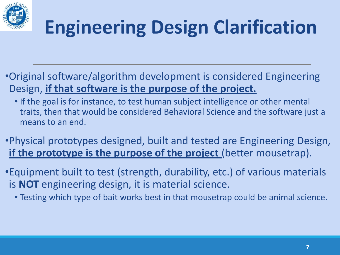

#### **Engineering Design Clarification**

- •Original software/algorithm development is considered Engineering Design, **if that software is the purpose of the project.**
	- If the goal is for instance, to test human subject intelligence or other mental traits, then that would be considered Behavioral Science and the software just a means to an end.
- •Physical prototypes designed, built and tested are Engineering Design, if the prototype is the purpose of the project (better mousetrap).
- •Equipment built to test (strength, durability, etc.) of various materials is **NOT** engineering design, it is material science.
	- Testing which type of bait works best in that mousetrap could be animal science.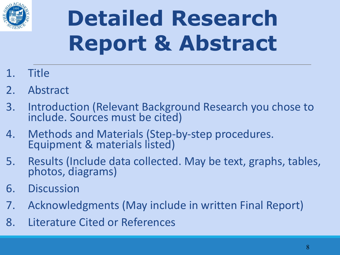

### **Detailed Research Report & Abstract**

- 1. Title
- 2. Abstract
- 3. Introduction (Relevant Background Research you chose to include. Sources must be cited)
- 4. Methods and Materials (Step-by-step procedures. Equipment & materials listed)
- 5. Results (Include data collected. May be text, graphs, tables, photos, diagrams)
- 6. Discussion
- 7. Acknowledgments (May include in written Final Report)
- 8. Literature Cited or References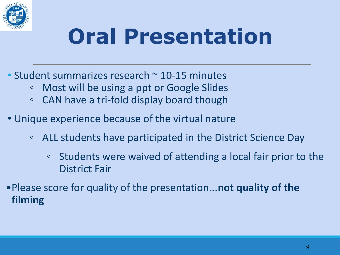

### **Oral Presentation**

- Student summarizes research ~ 10-15 minutes
	- Most will be using a ppt or Google Slides
	- CAN have a tri-fold display board though
- Unique experience because of the virtual nature
	- ALL students have participated in the District Science Day
		- Students were waived of attending a local fair prior to the District Fair
- •Please score for quality of the presentation...**not quality of the filming**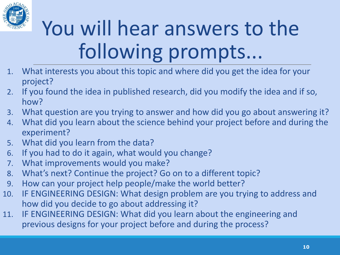

### You will hear answers to the following prompts...

- 1. What interests you about this topic and where did you get the idea for your project?
- 2. If you found the idea in published research, did you modify the idea and if so, how?
- 3. What question are you trying to answer and how did you go about answering it?
- 4. What did you learn about the science behind your project before and during the experiment?
- 5. What did you learn from the data?
- 6. If you had to do it again, what would you change?
- 7. What improvements would you make?
- 8. What's next? Continue the project? Go on to a different topic?
- 9. How can your project help people/make the world better?
- 10. IF ENGINEERING DESIGN: What design problem are you trying to address and how did you decide to go about addressing it?
- 11. IF ENGINEERING DESIGN: What did you learn about the engineering and previous designs for your project before and during the process?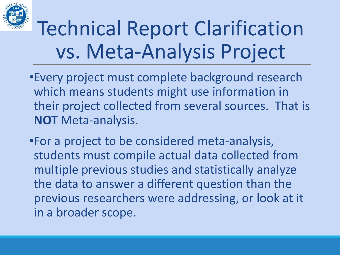

#### Technical Report Clarification vs. Meta-Analysis Project

- •Every project must complete background research which means students might use information in their project collected from several sources. That is **NOT** Meta-analysis.
- •For a project to be considered meta-analysis, students must compile actual data collected from multiple previous studies and statistically analyze the data to answer a different question than the previous researchers were addressing, or look at it in a broader scope.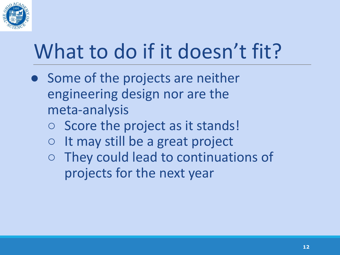

#### What to do if it doesn't fit?

- Some of the projects are neither engineering design nor are the meta-analysis
	- Score the project as it stands!
	- It may still be a great project
	- They could lead to continuations of projects for the next year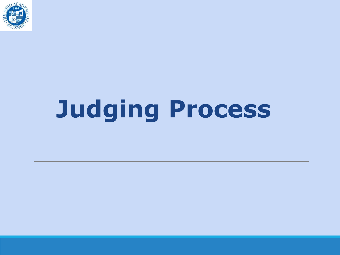

# **Judging Process**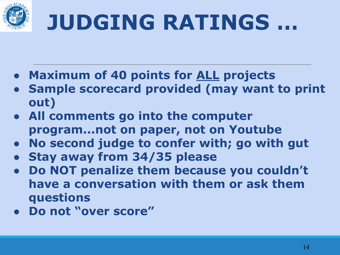

### **JUDGING RATINGS …**

- **● Maximum of 40 points for ALL projects**
- **● Sample scorecard provided (may want to print out)**
- **● All comments go into the computer program...not on paper, not on Youtube**
- **● No second judge to confer with; go with gut**
- **● Stay away from 34/35 please**
- **● Do NOT penalize them because you couldn't have a conversation with them or ask them questions**
- **● Do not "over score"**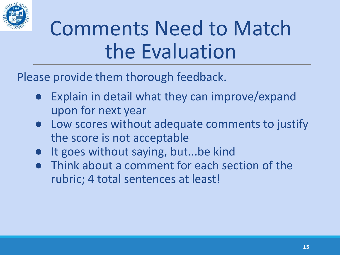

#### Comments Need to Match the Evaluation

Please provide them thorough feedback.

- Explain in detail what they can improve/expand upon for next year
- Low scores without adequate comments to justify the score is not acceptable
- It goes without saying, but...be kind
- Think about a comment for each section of the rubric; 4 total sentences at least!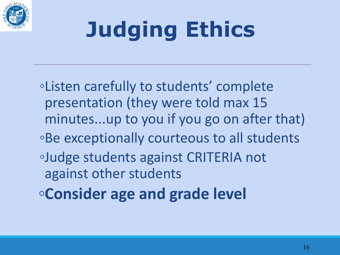

## **Judging Ethics**

◦Listen carefully to students' complete presentation (they were told max 15 minutes...up to you if you go on after that) ◦Be exceptionally courteous to all students ◦Judge students against CRITERIA not against other students **◦Consider age and grade level**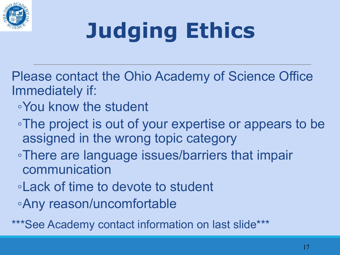

# **Judging Ethics**

- Please contact the Ohio Academy of Science Office Immediately if:
	- ◦You know the student
	- ◦The project is out of your expertise or appears to be assigned in the wrong topic category
	- ◦There are language issues/barriers that impair communication
	- ◦Lack of time to devote to student
	- ◦Any reason/uncomfortable

\*\*\*See Academy contact information on last slide\*\*\*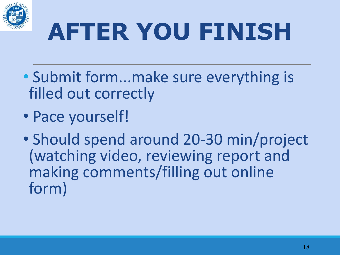

# **AFTER YOU FINISH**

- Submit form...make sure everything is filled out correctly
- Pace yourself!
- Should spend around 20-30 min/project (watching video, reviewing report and making comments/filling out online form)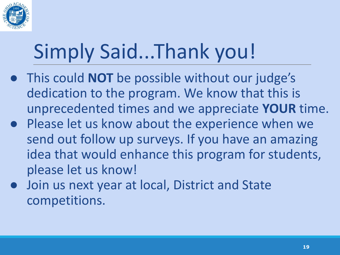

### Simply Said...Thank you!

- This could **NOT** be possible without our judge's dedication to the program. We know that this is unprecedented times and we appreciate **YOUR** time.
- Please let us know about the experience when we send out follow up surveys. If you have an amazing idea that would enhance this program for students, please let us know!
- Join us next year at local, District and State competitions.